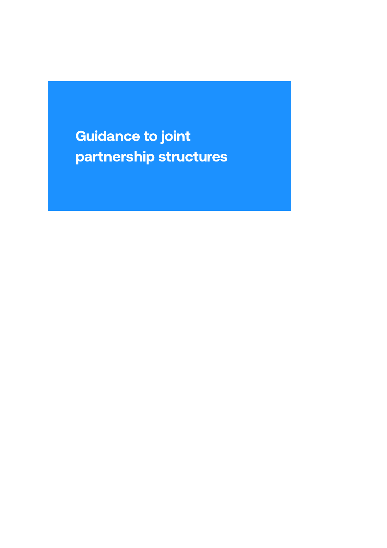Guidance to joint partnership structures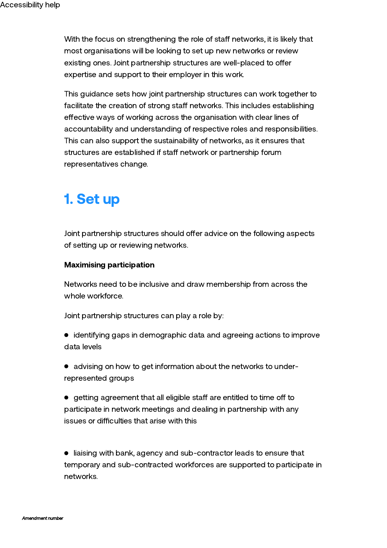With the focus on strengthening the role of staff networks, it is likely that most organisations will be looking to set up new networks or review existing ones. Joint partnership structures are well-placed to offer expertise and support to their employer in this work.

This guidance sets how joint partnership structures can work together to facilitate the creation of strong staff networks. This includes establishing effective ways of working across the organisation with clear lines of accountability and understanding of respective roles and responsibilities. This can also support the sustainability of networks, as it ensures that structures are established if staff network or partnership forum representatives change.

# 1. Set up

Joint partnership structures should offer advice on the following aspects of setting up or reviewing networks.

### Maximising participation

Networks need to be inclusive and draw membership from across the whole workforce.

Joint partnership structures can play a role by:

- identifying gaps in demographic data and agreeing actions to improve data levels
- advising on how to get information about the networks to underrepresented groups
- $\bullet$  getting agreement that all eligible staff are entitled to time off to participate in network meetings and dealing in partnership with any issues or difficulties that arise with this

 $\bullet$  liaising with bank, agency and sub-contractor leads to ensure that temporary and sub-contracted workforces are supported to participate in networks.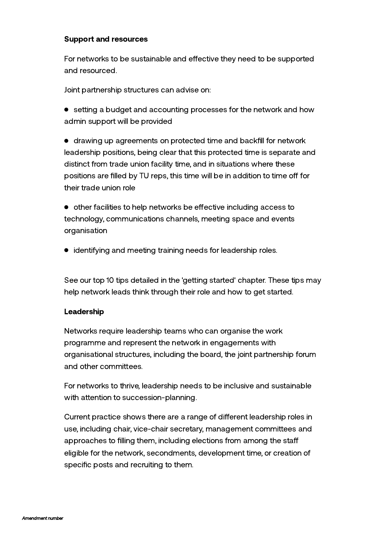### Support and resources

For networks to be sustainable and effective they need to be supported and resourced.

Joint partnership structures can advise on:

• setting a budget and accounting processes for the network and how admin support will be provided

drawing up agreements on protected time and backfill for network leadership positions, being clear that this protected time is separate and distinct from trade union facility time, and in situations where these positions are filled by TU reps, this time will be in addition to time off for their trade union role

 $\bullet$  other facilities to help networks be effective including access to technology, communications channels, meeting space and events organisation

identifying and meeting training needs for leadership roles.

See our top 10 tips detailed in the 'getting started' chapter. These tips may help network leads think through their role and how to get started.

#### Leadership

Networks require leadership teams who can organise the work programme and represent the network in engagements with organisational structures, including the board, the joint partnership forum and other committees.

For networks to thrive, leadership needs to be inclusive and sustainable with attention to succession-planning.

Current practice shows there are a range of different leadership roles in use, including chair, vice-chair secretary, management committees and approaches to filling them, including elections from among the sta eligible for the network, secondments, development time, or creation of specific posts and recruiting to them.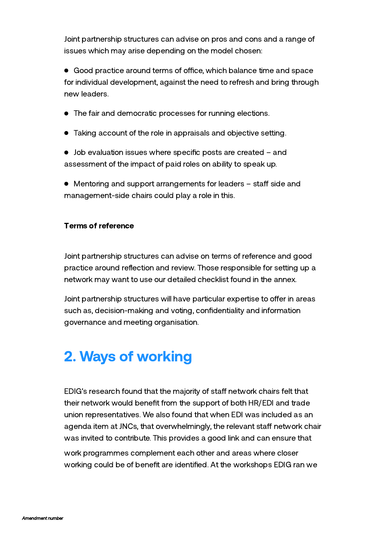Joint partnership structures can advise on pros and cons and a range of issues which may arise depending on the model chosen:

• Good practice around terms of office, which balance time and space for individual development, against the need to refresh and bring through new leaders.

- The fair and democratic processes for running elections.
- Taking account of the role in appraisals and objective setting.
- Job evaluation issues where specific posts are created and assessment of the impact of paid roles on ability to speak up.
- $\bullet$  Mentoring and support arrangements for leaders  $-$  staff side and management-side chairs could play a role in this.

#### Terms of reference

Joint partnership structures can advise on terms of reference and good practice around reflection and review. Those responsible for setting up a network may want to use our detailed checklist found in the annex.

Joint partnership structures will have particular expertise to offer in areas such as, decision-making and voting, confidentiality and information governance and meeting organisation.

# 2. Ways of working

EDIG's research found that the majority of staff network chairs felt that their network would benefit from the support of both HR/EDI and trade union representatives. We also found that when EDI was included as an agenda item at JNCs, that overwhelmingly, the relevant staff network chair was invited to contribute. This provides a good link and can ensure that

work programmes complement each other and areas where closer working could be of benefit are identified. At the workshops EDIG ran we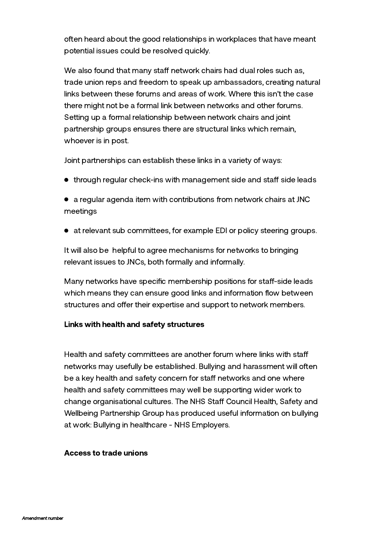often heard about the good relationships in workplaces that have meant potential issues could be resolved quickly.

We also found that many staff network chairs had dual roles such as, trade union reps and freedom to speak up ambassadors, creating natural links between these forums and areas of work. Where this isn't the case there might not be a formal link between networks and other forums. Setting up a formal relationship between network chairs and joint partnership groups ensures there are structural links which remain, whoever is in post.

Joint partnerships can establish these links in a variety of ways:

- $\bullet$  through regular check-ins with management side and staff side leads
- a regular agenda item with contributions from network chairs at JNC meetings
- at relevant sub committees, for example EDI or policy steering groups.

It will also be helpful to agree mechanisms for networks to bringing relevant issues to JNCs, both formally and informally.

Many networks have specific membership positions for staff-side leads which means they can ensure good links and information flow between structures and offer their expertise and support to network members.

### Links with health and safety structures

Health and safety committees are another forum where links with staff networks may usefully be established. Bullying and harassment will often be a key health and safety concern for staff networks and one where health and safety committees may well be supporting wider work to change organisational cultures. The NHS Staff Council Health, Safety and Wellbeing Partnership Group has produced useful information on bullying at work: Bullying in [healthcare](https://www.nhsemployers.org/engagement-and-networks/nhs-staff-council/health-safety-and-wellbeing-partnership-group/hswpg-guidance/bullying-in-healthcare) - NHS Employers.

### Access to trade unions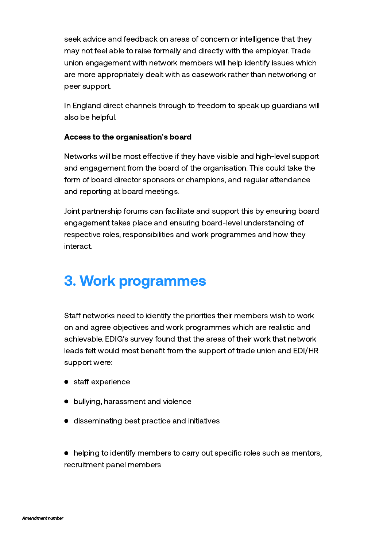seek advice and feedback on areas of concern or intelligence that they may not feel able to raise formally and directly with the employer. Trade union engagement with network members will help identify issues which are more appropriately dealt with as casework rather than networking or peer support.

In England direct channels through to freedom to speak up guardians will also be helpful.

### Access to the organisation's board

Networks will be most effective if they have visible and high-level support and engagement from the board of the organisation. This could take the form of board director sponsors or champions, and regular attendance and reporting at board meetings.

Joint partnership forums can facilitate and support this by ensuring board engagement takes place and ensuring board-level understanding of respective roles, responsibilities and work programmes and how they interact.

## 3. Work programmes

Staff networks need to identify the priorities their members wish to work on and agree objectives and work programmes which are realistic and achievable. EDIG's survey found that the areas of their work that network leads felt would most benefit from the support of trade union and EDI/HR support were:

- $\bullet$  staff experience
- bullying, harassment and violence
- **•** disseminating best practice and initiatives

helping to identify members to carry out specific roles such as mentors, recruitment panel members